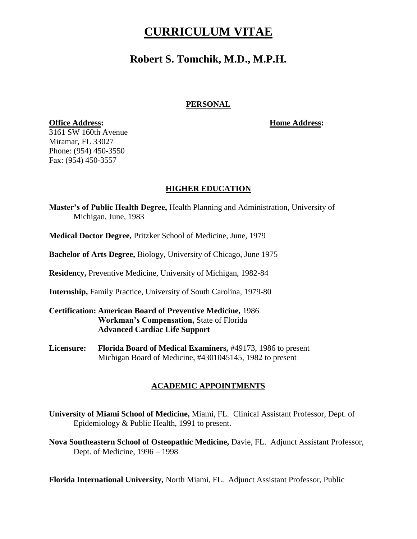### **Robert S. Tomchik, M.D., M.P.H.**

### **PERSONAL**

**Office Address: Home Address:**

3161 SW 160th Avenue Miramar, FL 33027 Phone: (954) 450-3550 Fax: (954) 450-3557

### **HIGHER EDUCATION**

**Master"s of Public Health Degree,** Health Planning and Administration, University of Michigan, June, 1983

**Medical Doctor Degree,** Pritzker School of Medicine, June, 1979

**Bachelor of Arts Degree,** Biology, University of Chicago, June 1975

**Residency,** Preventive Medicine, University of Michigan, 1982-84

**Internship,** Family Practice, University of South Carolina, 1979-80

### **Certification: American Board of Preventive Medicine,** 1986 **Workman"s Compensation,** State of Florida **Advanced Cardiac Life Support**

**Licensure: Florida Board of Medical Examiners,** #49173, 1986 to present Michigan Board of Medicine, #4301045145, 1982 to present

### **ACADEMIC APPOINTMENTS**

**University of Miami School of Medicine,** Miami, FL. Clinical Assistant Professor, Dept. of Epidemiology & Public Health, 1991 to present.

**Nova Southeastern School of Osteopathic Medicine,** Davie, FL. Adjunct Assistant Professor, Dept. of Medicine, 1996 – 1998

**Florida International University,** North Miami, FL. Adjunct Assistant Professor, Public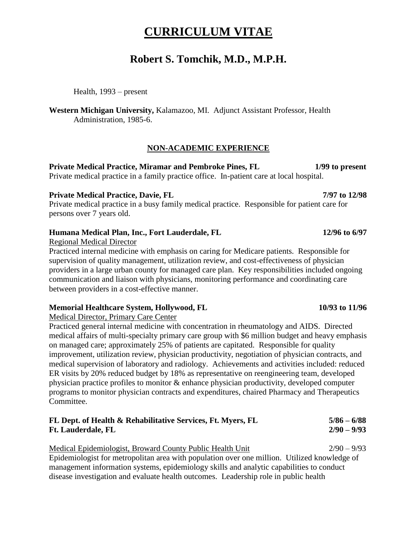### **Robert S. Tomchik, M.D., M.P.H.**

Health, 1993 – present

**Western Michigan University,** Kalamazoo, MI. Adjunct Assistant Professor, Health Administration, 1985-6.

### **NON-ACADEMIC EXPERIENCE**

**Private Medical Practice, Miramar and Pembroke Pines, FL 1/99 to present** Private medical practice in a family practice office. In-patient care at local hospital.

### Private Medical Practice, Davie, FL 7/97 to 12/98

Private medical practice in a busy family medical practice. Responsible for patient care for persons over 7 years old.

### **Humana Medical Plan, Inc., Fort Lauderdale, FL 12/96 to 6/97**

Regional Medical Director

Practiced internal medicine with emphasis on caring for Medicare patients. Responsible for supervision of quality management, utilization review, and cost-effectiveness of physician providers in a large urban county for managed care plan. Key responsibilities included ongoing communication and liaison with physicians, monitoring performance and coordinating care between providers in a cost-effective manner.

### **Memorial Healthcare System, Hollywood, FL 10/93 to 11/96**

Medical Director, Primary Care Center

Practiced general internal medicine with concentration in rheumatology and AIDS. Directed medical affairs of multi-specialty primary care group with \$6 million budget and heavy emphasis on managed care; approximately 25% of patients are capitated. Responsible for quality improvement, utilization review, physician productivity, negotiation of physician contracts, and medical supervision of laboratory and radiology. Achievements and activities included: reduced ER visits by 20% reduced budget by 18% as representative on reengineering team, developed physician practice profiles to monitor & enhance physician productivity, developed computer programs to monitor physician contracts and expenditures, chaired Pharmacy and Therapeutics Committee.

| FL Dept. of Health & Rehabilitative Services, Ft. Myers, FL | $5/86 - 6/88$ |
|-------------------------------------------------------------|---------------|
| <b>Ft. Lauderdale, FL</b>                                   | $2/90 - 9/93$ |

| Medical Epidemiologist, Broward County Public Health Unit                                    | $2/90 - 9/93$ |
|----------------------------------------------------------------------------------------------|---------------|
| Epidemiologist for metropolitan area with population over one million. Utilized knowledge of |               |
| management information systems, epidemiology skills and analytic capabilities to conduct     |               |
| disease investigation and evaluate health outcomes. Leadership role in public health         |               |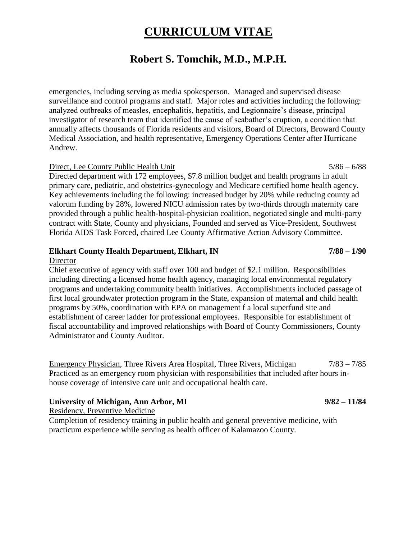### **Robert S. Tomchik, M.D., M.P.H.**

emergencies, including serving as media spokesperson. Managed and supervised disease surveillance and control programs and staff. Major roles and activities including the following: analyzed outbreaks of measles, encephalitis, hepatitis, and Legionnaire's disease, principal investigator of research team that identified the cause of seabather's eruption, a condition that annually affects thousands of Florida residents and visitors, Board of Directors, Broward County Medical Association, and health representative, Emergency Operations Center after Hurricane Andrew.

#### Direct, Lee County Public Health Unit 5/86 – 6/88

Directed department with 172 employees, \$7.8 million budget and health programs in adult primary care, pediatric, and obstetrics-gynecology and Medicare certified home health agency. Key achievements including the following: increased budget by 20% while reducing county ad valorum funding by 28%, lowered NICU admission rates by two-thirds through maternity care provided through a public health-hospital-physician coalition, negotiated single and multi-party contract with State, County and physicians, Founded and served as Vice-President, Southwest Florida AIDS Task Forced, chaired Lee County Affirmative Action Advisory Committee.

### **Elkhart County Health Department, Elkhart, IN 7/88 – 1/90**

#### **Director**

Chief executive of agency with staff over 100 and budget of \$2.1 million. Responsibilities including directing a licensed home health agency, managing local environmental regulatory programs and undertaking community health initiatives. Accomplishments included passage of first local groundwater protection program in the State, expansion of maternal and child health programs by 50%, coordination with EPA on management f a local superfund site and establishment of career ladder for professional employees. Responsible for establishment of fiscal accountability and improved relationships with Board of County Commissioners, County Administrator and County Auditor.

Emergency Physician, Three Rivers Area Hospital, Three Rivers, Michigan 7/83 – 7/85 Practiced as an emergency room physician with responsibilities that included after hours inhouse coverage of intensive care unit and occupational health care.

#### **University of Michigan, Ann Arbor, MI 9/82 – 11/84**

Residency, Preventive Medicine

Completion of residency training in public health and general preventive medicine, with practicum experience while serving as health officer of Kalamazoo County.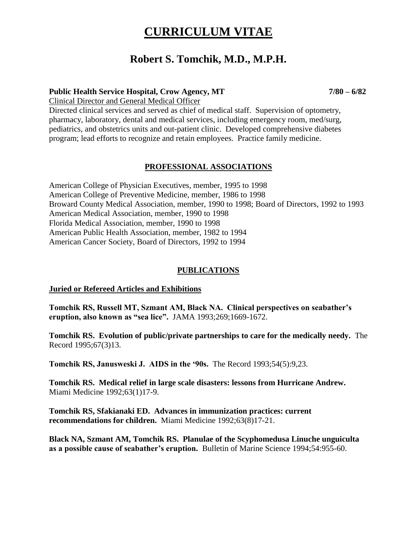### **Robert S. Tomchik, M.D., M.P.H.**

### **Public Health Service Hospital, Crow Agency, MT 7/80 – 6/82**

Clinical Director and General Medical Officer

Directed clinical services and served as chief of medical staff. Supervision of optometry, pharmacy, laboratory, dental and medical services, including emergency room, med/surg, pediatrics, and obstetrics units and out-patient clinic. Developed comprehensive diabetes program; lead efforts to recognize and retain employees. Practice family medicine.

### **PROFESSIONAL ASSOCIATIONS**

American College of Physician Executives, member, 1995 to 1998 American College of Preventive Medicine, member, 1986 to 1998 Broward County Medical Association, member, 1990 to 1998; Board of Directors, 1992 to 1993 American Medical Association, member, 1990 to 1998 Florida Medical Association, member, 1990 to 1998 American Public Health Association, member, 1982 to 1994 American Cancer Society, Board of Directors, 1992 to 1994

### **PUBLICATIONS**

### **Juried or Refereed Articles and Exhibitions**

**Tomchik RS, Russell MT, Szmant AM, Black NA. Clinical perspectives on seabather"s eruption, also known as "sea lice".** JAMA 1993;269;1669-1672.

**Tomchik RS. Evolution of public/private partnerships to care for the medically needy.** The Record 1995;67(3)13.

**Tomchik RS, Janusweski J. AIDS in the "90s.** The Record 1993;54(5):9,23.

**Tomchik RS. Medical relief in large scale disasters: lessons from Hurricane Andrew.** Miami Medicine 1992;63(1)17-9.

**Tomchik RS, Sfakianaki ED. Advances in immunization practices: current recommendations for children.** Miami Medicine 1992;63(8)17-21.

**Black NA, Szmant AM, Tomchik RS. Planulae of the Scyphomedusa Linuche unguiculta as a possible cause of seabather"s eruption.** Bulletin of Marine Science 1994;54:955-60.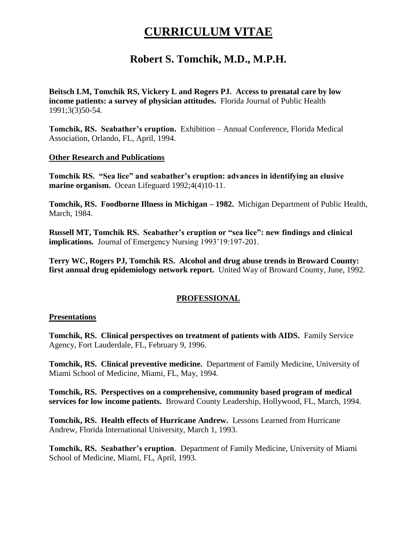### **Robert S. Tomchik, M.D., M.P.H.**

**Beitsch LM, Tomchik RS, Vickery L and Rogers PJ. Access to prenatal care by low income patients: a survey of physician attitudes.** Florida Journal of Public Health 1991;3(3)50-54.

**Tomchik, RS. Seabather"s eruption.** Exhibition – Annual Conference, Florida Medical Association, Orlando, FL, April, 1994.

### **Other Research and Publications**

**Tomchik RS. "Sea lice" and seabather"s eruption: advances in identifying an elusive marine organism.** Ocean Lifeguard 1992;4(4)10-11.

**Tomchik, RS. Foodborne Illness in Michigan – 1982.** Michigan Department of Public Health, March, 1984.

**Russell MT, Tomchik RS. Seabather"s eruption or "sea lice": new findings and clinical implications.** Journal of Emergency Nursing 1993'19:197-201.

**Terry WC, Rogers PJ, Tomchik RS. Alcohol and drug abuse trends in Broward County: first annual drug epidemiology network report.** United Way of Broward County, June, 1992.

### **PROFESSIONAL**

### **Presentations**

**Tomchik, RS. Clinical perspectives on treatment of patients with AIDS.** Family Service Agency, Fort Lauderdale, FL, February 9, 1996.

**Tomchik, RS. Clinical preventive medicine.** Department of Family Medicine, University of Miami School of Medicine, Miami, FL, May, 1994.

**Tomchik, RS. Perspectives on a comprehensive, community based program of medical services for low income patients.** Broward County Leadership, Hollywood, FL, March, 1994.

**Tomchik, RS. Health effects of Hurricane Andrew.** Lessons Learned from Hurricane Andrew, Florida International University, March 1, 1993.

**Tomchik, RS. Seabather"s eruption**. Department of Family Medicine, University of Miami School of Medicine, Miami, FL, April, 1993.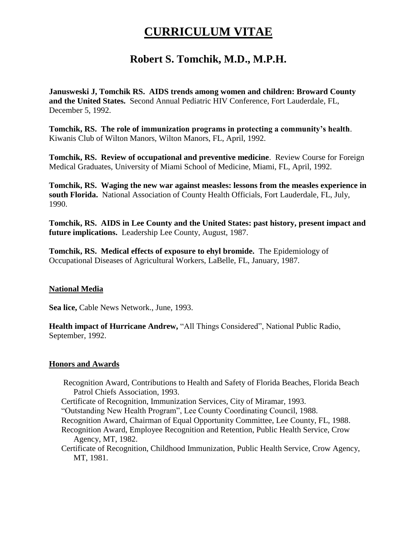## **Robert S. Tomchik, M.D., M.P.H.**

**Janusweski J, Tomchik RS. AIDS trends among women and children: Broward County and the United States.** Second Annual Pediatric HIV Conference, Fort Lauderdale, FL, December 5, 1992.

**Tomchik, RS. The role of immunization programs in protecting a community"s health**. Kiwanis Club of Wilton Manors, Wilton Manors, FL, April, 1992.

**Tomchik, RS. Review of occupational and preventive medicine**. Review Course for Foreign Medical Graduates, University of Miami School of Medicine, Miami, FL, April, 1992.

**Tomchik, RS. Waging the new war against measles: lessons from the measles experience in south Florida.** National Association of County Health Officials, Fort Lauderdale, FL, July, 1990.

**Tomchik, RS. AIDS in Lee County and the United States: past history, present impact and future implications.** Leadership Lee County, August, 1987.

**Tomchik, RS. Medical effects of exposure to ehyl bromide.** The Epidemiology of Occupational Diseases of Agricultural Workers, LaBelle, FL, January, 1987.

### **National Media**

**Sea lice,** Cable News Network., June, 1993.

**Health impact of Hurricane Andrew,** "All Things Considered", National Public Radio, September, 1992.

### **Honors and Awards**

- Recognition Award, Contributions to Health and Safety of Florida Beaches, Florida Beach Patrol Chiefs Association, 1993.
- Certificate of Recognition, Immunization Services, City of Miramar, 1993.

"Outstanding New Health Program", Lee County Coordinating Council, 1988.

- Recognition Award, Chairman of Equal Opportunity Committee, Lee County, FL, 1988.
- Recognition Award, Employee Recognition and Retention, Public Health Service, Crow Agency, MT, 1982.
- Certificate of Recognition, Childhood Immunization, Public Health Service, Crow Agency, MT, 1981.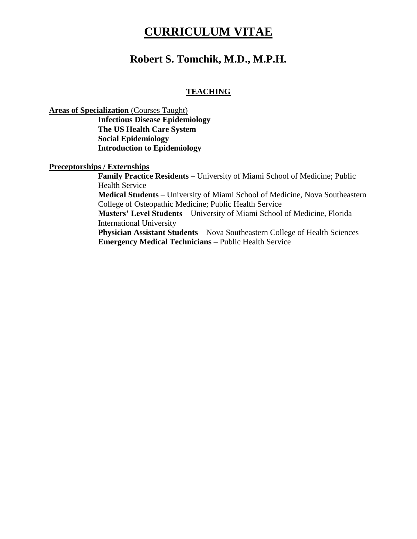### **Robert S. Tomchik, M.D., M.P.H.**

### **TEACHING**

**Areas of Specialization** (Courses Taught)

**Infectious Disease Epidemiology The US Health Care System Social Epidemiology Introduction to Epidemiology**

**Preceptorships / Externships**

**Family Practice Residents** – University of Miami School of Medicine; Public Health Service **Medical Students** – University of Miami School of Medicine, Nova Southeastern College of Osteopathic Medicine; Public Health Service **Masters" Level Students** – University of Miami School of Medicine, Florida International University **Physician Assistant Students** – Nova Southeastern College of Health Sciences **Emergency Medical Technicians** – Public Health Service